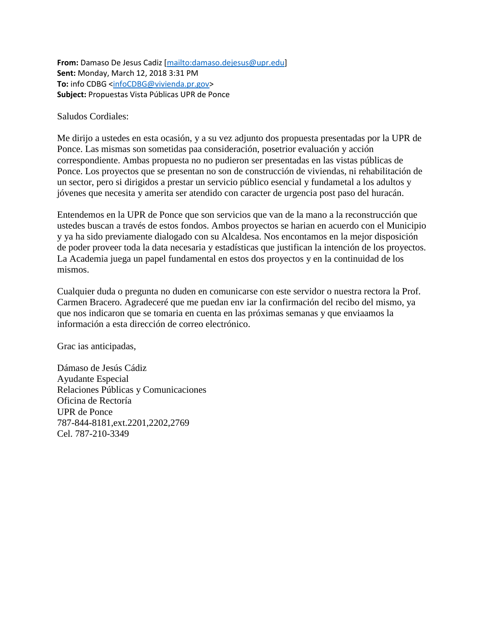**From:** Damaso De Jesus Cadiz [\[mailto:damaso.dejesus@upr.edu\]](mailto:damaso.dejesus@upr.edu) **Sent:** Monday, March 12, 2018 3:31 PM **To:** info CDBG [<infoCDBG@vivienda.pr.gov>](mailto:infoCDBG@vivienda.pr.gov) **Subject:** Propuestas Vista Públicas UPR de Ponce

Saludos Cordiales:

Me dirijo a ustedes en esta ocasión, y a su vez adjunto dos propuesta presentadas por la UPR de Ponce. Las mismas son sometidas paa consideración, posetrior evaluación y acción correspondiente. Ambas propuesta no no pudieron ser presentadas en las vistas públicas de Ponce. Los proyectos que se presentan no son de construcción de viviendas, ni rehabilitación de un sector, pero si dirigidos a prestar un servicio público esencial y fundametal a los adultos y jóvenes que necesita y amerita ser atendido con caracter de urgencia post paso del huracán.

Entendemos en la UPR de Ponce que son servicios que van de la mano a la reconstrucción que ustedes buscan a través de estos fondos. Ambos proyectos se harian en acuerdo con el Municipio y ya ha sido previamente dialogado con su Alcaldesa. Nos encontamos en la mejor disposición de poder proveer toda la data necesaria y estadísticas que justifican la intención de los proyectos. La Academia juega un papel fundamental en estos dos proyectos y en la continuidad de los mismos.

Cualquier duda o pregunta no duden en comunicarse con este servidor o nuestra rectora la Prof. Carmen Bracero. Agradeceré que me puedan env iar la confirmación del recibo del mismo, ya que nos indicaron que se tomaria en cuenta en las próximas semanas y que enviaamos la información a esta dirección de correo electrónico.

Grac ias anticipadas,

Dámaso de Jesús Cádiz Ayudante Especial Relaciones Públicas y Comunicaciones Oficina de Rectoría UPR de Ponce 787-844-8181,ext.2201,2202,2769 Cel. 787-210-3349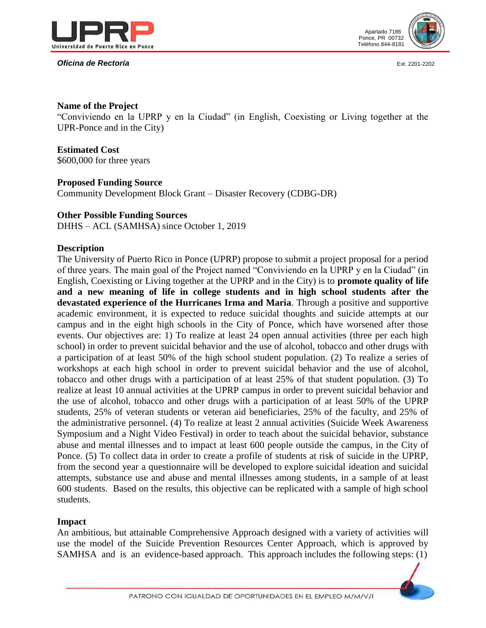

#### **Oficina de Rectoría Ext. 2201-2202**



#### **Name of the Project**

"Conviviendo en la UPRP y en la Ciudad" (in English, Coexisting or Living together at the UPR-Ponce and in the City)

## **Estimated Cost**

\$600,000 for three years

## **Proposed Funding Source**

Community Development Block Grant – Disaster Recovery (CDBG-DR)

#### **Other Possible Funding Sources**

DHHS – ACL (SAMHSA) since October 1, 2019

## **Description**

The University of Puerto Rico in Ponce (UPRP) propose to submit a project proposal for a period of three years. The main goal of the Project named "Conviviendo en la UPRP y en la Ciudad" (in English, Coexisting or Living together at the UPRP and in the City) is to **promote quality of life and a new meaning of life in college students and in high school students after the devastated experience of the Hurricanes Irma and Maria**. Through a positive and supportive academic environment, it is expected to reduce suicidal thoughts and suicide attempts at our campus and in the eight high schools in the City of Ponce, which have worsened after those events. Our objectives are: 1) To realize at least 24 open annual activities (three per each high school) in order to prevent suicidal behavior and the use of alcohol, tobacco and other drugs with a participation of at least 50% of the high school student population. (2) To realize a series of workshops at each high school in order to prevent suicidal behavior and the use of alcohol, tobacco and other drugs with a participation of at least 25% of that student population. (3) To realize at least 10 annual activities at the UPRP campus in order to prevent suicidal behavior and the use of alcohol, tobacco and other drugs with a participation of at least 50% of the UPRP students, 25% of veteran students or veteran aid beneficiaries, 25% of the faculty, and 25% of the administrative personnel. (4) To realize at least 2 annual activities (Suicide Week Awareness Symposium and a Night Video Festival) in order to teach about the suicidal behavior, substance abuse and mental illnesses and to impact at least 600 people outside the campus, in the City of Ponce. (5) To collect data in order to create a profile of students at risk of suicide in the UPRP, from the second year a questionnaire will be developed to explore suicidal ideation and suicidal attempts, substance use and abuse and mental illnesses among students, in a sample of at least 600 students. Based on the results, this objective can be replicated with a sample of high school students.

#### **Impact**

An ambitious, but attainable Comprehensive Approach designed with a variety of activities will use the model of the Suicide Prevention Resources Center Approach, which is approved by SAMHSA and is an evidence-based approach. This approach includes the following steps: (1)

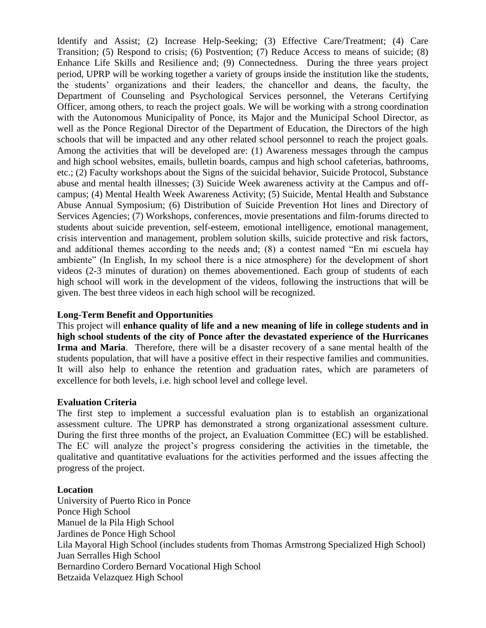Identify and Assist; (2) Increase Help-Seeking; (3) Effective Care/Treatment; (4) Care Transition; (5) Respond to crisis; (6) Postvention; (7) Reduce Access to means of suicide; (8) Enhance Life Skills and Resilience and; (9) Connectedness. During the three years project period, UPRP will be working together a variety of groups inside the institution like the students, the students' organizations and their leaders, the chancellor and deans, the faculty, the Department of Counseling and Psychological Services personnel, the Veterans Certifying Officer, among others, to reach the project goals. We will be working with a strong coordination with the Autonomous Municipality of Ponce, its Major and the Municipal School Director, as well as the Ponce Regional Director of the Department of Education, the Directors of the high schools that will be impacted and any other related school personnel to reach the project goals. Among the activities that will be developed are: (1) Awareness messages through the campus and high school websites, emails, bulletin boards, campus and high school cafeterias, bathrooms, etc.; (2) Faculty workshops about the Signs of the suicidal behavior, Suicide Protocol, Substance abuse and mental health illnesses; (3) Suicide Week awareness activity at the Campus and offcampus; (4) Mental Health Week Awareness Activity; (5) Suicide, Mental Health and Substance Abuse Annual Symposium; (6) Distribution of Suicide Prevention Hot lines and Directory of Services Agencies; (7) Workshops, conferences, movie presentations and film-forums directed to students about suicide prevention, self-esteem, emotional intelligence, emotional management, crisis intervention and management, problem solution skills, suicide protective and risk factors, and additional themes according to the needs and; (8) a contest named "En mi escuela hay ambiente" (In English, In my school there is a nice atmosphere) for the development of short videos (2-3 minutes of duration) on themes abovementioned. Each group of students of each high school will work in the development of the videos, following the instructions that will be given. The best three videos in each high school will be recognized.

## **Long-Term Benefit and Opportunities**

This project will **enhance quality of life and a new meaning of life in college students and in high school students of the city of Ponce after the devastated experience of the Hurricanes Irma and Maria**. Therefore, there will be a disaster recovery of a sane mental health of the students population, that will have a positive effect in their respective families and communities. It will also help to enhance the retention and graduation rates, which are parameters of excellence for both levels, i.e. high school level and college level.

#### **Evaluation Criteria**

The first step to implement a successful evaluation plan is to establish an organizational assessment culture. The UPRP has demonstrated a strong organizational assessment culture. During the first three months of the project, an Evaluation Committee (EC) will be established. The EC will analyze the project's progress considering the activities in the timetable, the qualitative and quantitative evaluations for the activities performed and the issues affecting the progress of the project.

#### **Location**

University of Puerto Rico in Ponce Ponce High School Manuel de la Pila High School Jardines de Ponce High School Lila Mayoral High School (includes students from Thomas Armstrong Specialized High School) Juan Serralles High School Bernardino Cordero Bernard Vocational High School Betzaida Velazquez High School